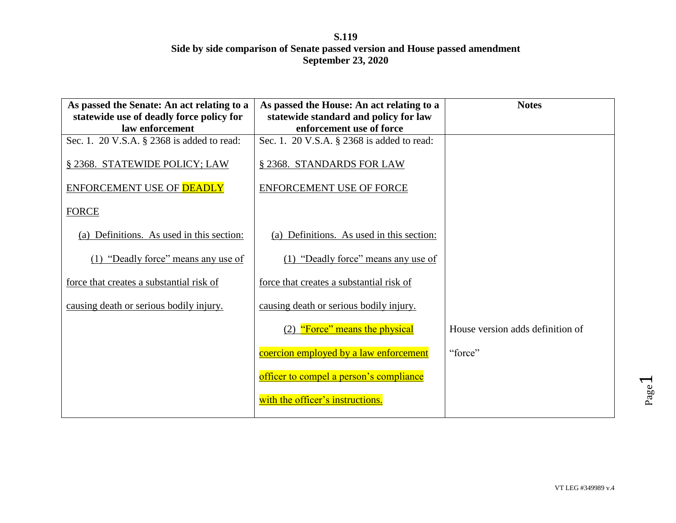| As passed the Senate: An act relating to a                  | As passed the House: An act relating to a                         | <b>Notes</b>                     |
|-------------------------------------------------------------|-------------------------------------------------------------------|----------------------------------|
| statewide use of deadly force policy for<br>law enforcement | statewide standard and policy for law<br>enforcement use of force |                                  |
| Sec. 1. 20 V.S.A. § 2368 is added to read:                  | Sec. 1. 20 V.S.A. § 2368 is added to read:                        |                                  |
|                                                             |                                                                   |                                  |
| § 2368. STATEWIDE POLICY; LAW                               | § 2368. STANDARDS FOR LAW                                         |                                  |
| ENFORCEMENT USE OF <b>DEADLY</b>                            | <b>ENFORCEMENT USE OF FORCE</b>                                   |                                  |
|                                                             |                                                                   |                                  |
| <b>FORCE</b>                                                |                                                                   |                                  |
| (a) Definitions. As used in this section:                   | (a) Definitions. As used in this section:                         |                                  |
|                                                             |                                                                   |                                  |
| (1) "Deadly force" means any use of                         | (1) "Deadly force" means any use of                               |                                  |
| force that creates a substantial risk of                    | force that creates a substantial risk of                          |                                  |
| causing death or serious bodily injury.                     | causing death or serious bodily injury.                           |                                  |
|                                                             | (2) "Force" means the physical                                    | House version adds definition of |
|                                                             |                                                                   |                                  |
|                                                             | coercion employed by a law enforcement                            | "force"                          |
|                                                             | officer to compel a person's compliance                           |                                  |
|                                                             | with the officer's instructions.                                  |                                  |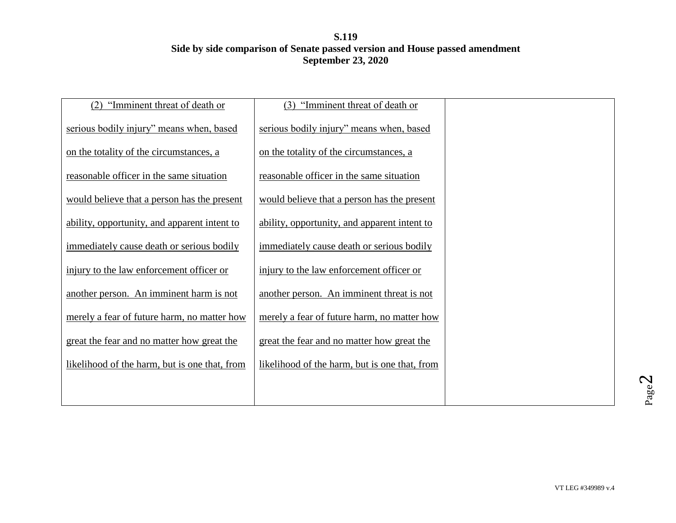| "Imminent threat of death or<br>(2)           | "Imminent threat of death or<br>(3)           |  |
|-----------------------------------------------|-----------------------------------------------|--|
| serious bodily injury" means when, based      | serious bodily injury" means when, based      |  |
| on the totality of the circumstances, a       | on the totality of the circumstances, a       |  |
| reasonable officer in the same situation      | reasonable officer in the same situation      |  |
| would believe that a person has the present   | would believe that a person has the present   |  |
| ability, opportunity, and apparent intent to  | ability, opportunity, and apparent intent to  |  |
| immediately cause death or serious bodily     | immediately cause death or serious bodily     |  |
| injury to the law enforcement officer or      | injury to the law enforcement officer or      |  |
| another person. An imminent harm is not       | another person. An imminent threat is not     |  |
| merely a fear of future harm, no matter how   | merely a fear of future harm, no matter how   |  |
| great the fear and no matter how great the    | great the fear and no matter how great the    |  |
| likelihood of the harm, but is one that, from | likelihood of the harm, but is one that, from |  |
|                                               |                                               |  |
|                                               |                                               |  |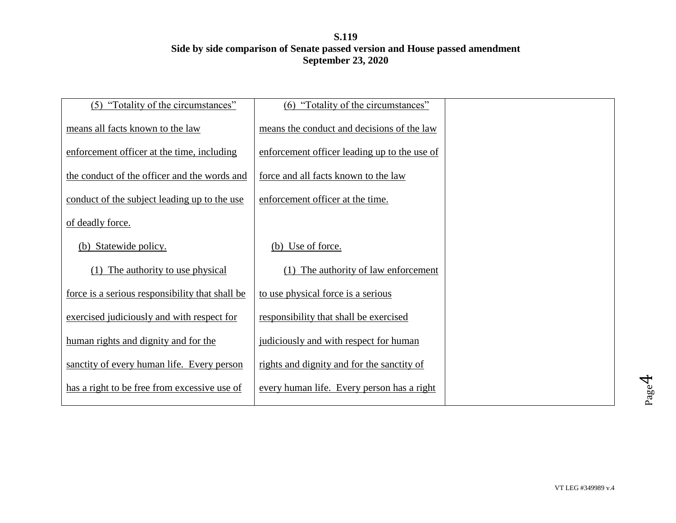| (5) "Totality of the circumstances"             | (6) "Totality of the circumstances"          |  |
|-------------------------------------------------|----------------------------------------------|--|
| means all facts known to the law                | means the conduct and decisions of the law   |  |
| enforcement officer at the time, including      | enforcement officer leading up to the use of |  |
| the conduct of the officer and the words and    | force and all facts known to the law         |  |
| conduct of the subject leading up to the use    | enforcement officer at the time.             |  |
| of deadly force.                                |                                              |  |
| (b) Statewide policy.                           | (b) Use of force.                            |  |
| The authority to use physical                   | The authority of law enforcement             |  |
| force is a serious responsibility that shall be | to use physical force is a serious           |  |
| exercised judiciously and with respect for      | responsibility that shall be exercised       |  |
| human rights and dignity and for the            | judiciously and with respect for human       |  |
| sanctity of every human life. Every person      | rights and dignity and for the sanctity of   |  |
| has a right to be free from excessive use of    | every human life. Every person has a right   |  |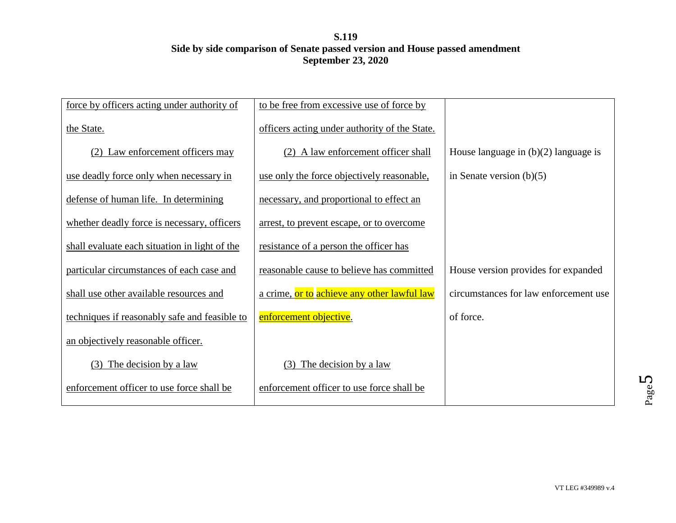| force by officers acting under authority of   | to be free from excessive use of force by     |                                        |
|-----------------------------------------------|-----------------------------------------------|----------------------------------------|
| the State.                                    | officers acting under authority of the State. |                                        |
| (2) Law enforcement officers may              | (2) A law enforcement officer shall           | House language in $(b)(2)$ language is |
| use deadly force only when necessary in       | use only the force objectively reasonable,    | in Senate version $(b)(5)$             |
| defense of human life. In determining         | necessary, and proportional to effect an      |                                        |
| whether deadly force is necessary, officers   | arrest, to prevent escape, or to overcome     |                                        |
| shall evaluate each situation in light of the | resistance of a person the officer has        |                                        |
| particular circumstances of each case and     | reasonable cause to believe has committed     | House version provides for expanded    |
| shall use other available resources and       | a crime, or to achieve any other lawful law   | circumstances for law enforcement use  |
| techniques if reasonably safe and feasible to | enforcement objective.                        | of force.                              |
| an objectively reasonable officer.            |                                               |                                        |
| $(3)$ The decision by a law                   | (3) The decision by a law                     |                                        |
| enforcement officer to use force shall be     | enforcement officer to use force shall be     |                                        |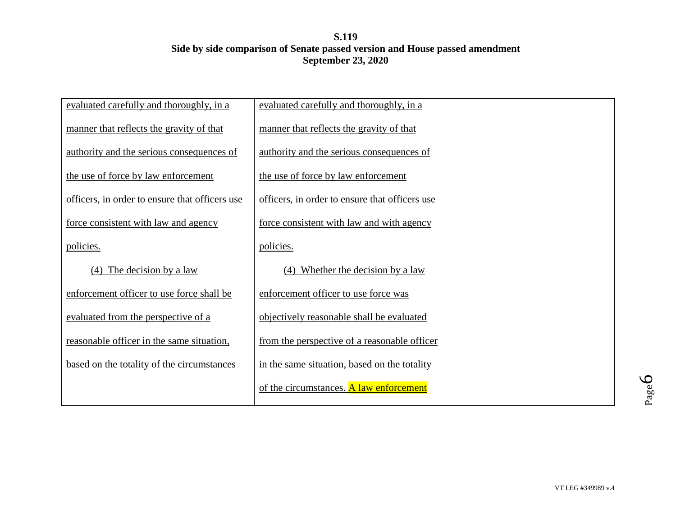| evaluated carefully and thoroughly, in a       | evaluated carefully and thoroughly, in a       |  |
|------------------------------------------------|------------------------------------------------|--|
| manner that reflects the gravity of that       | manner that reflects the gravity of that       |  |
| authority and the serious consequences of      | authority and the serious consequences of      |  |
| the use of force by law enforcement            | the use of force by law enforcement            |  |
| officers, in order to ensure that officers use | officers, in order to ensure that officers use |  |
| force consistent with law and agency           | force consistent with law and with agency      |  |
| policies.                                      | policies.                                      |  |
| The decision by a law<br>(4)                   | Whether the decision by a law<br>(4)           |  |
| enforcement officer to use force shall be      | enforcement officer to use force was           |  |
| evaluated from the perspective of a            | objectively reasonable shall be evaluated      |  |
| reasonable officer in the same situation,      | from the perspective of a reasonable officer   |  |
| based on the totality of the circumstances     | in the same situation, based on the totality   |  |
|                                                | of the circumstances. A law enforcement        |  |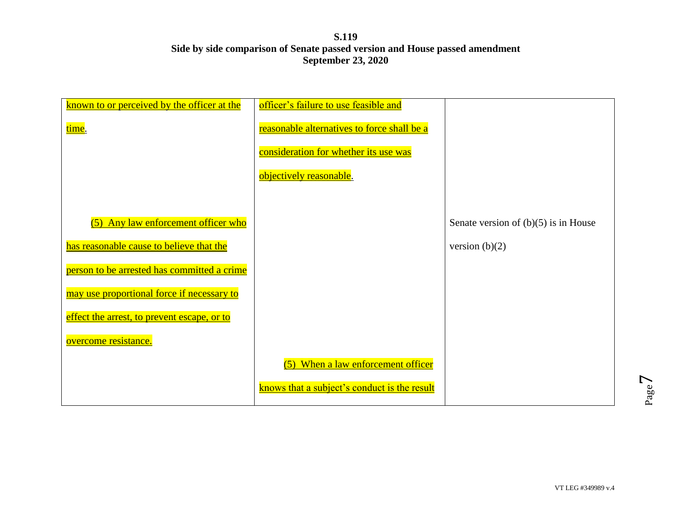| known to or perceived by the officer at the | officer's failure to use feasible and        |                                        |
|---------------------------------------------|----------------------------------------------|----------------------------------------|
|                                             |                                              |                                        |
| time.                                       | reasonable alternatives to force shall be a  |                                        |
|                                             | consideration for whether its use was        |                                        |
|                                             | objectively reasonable.                      |                                        |
|                                             |                                              |                                        |
| (5) Any law enforcement officer who         |                                              | Senate version of $(b)(5)$ is in House |
| has reasonable cause to believe that the    |                                              | version $(b)(2)$                       |
| person to be arrested has committed a crime |                                              |                                        |
| may use proportional force if necessary to  |                                              |                                        |
| effect the arrest, to prevent escape, or to |                                              |                                        |
| overcome resistance.                        |                                              |                                        |
|                                             | (5) When a law enforcement officer           |                                        |
|                                             | knows that a subject's conduct is the result |                                        |

Page  $\overline{\phantom{0}}$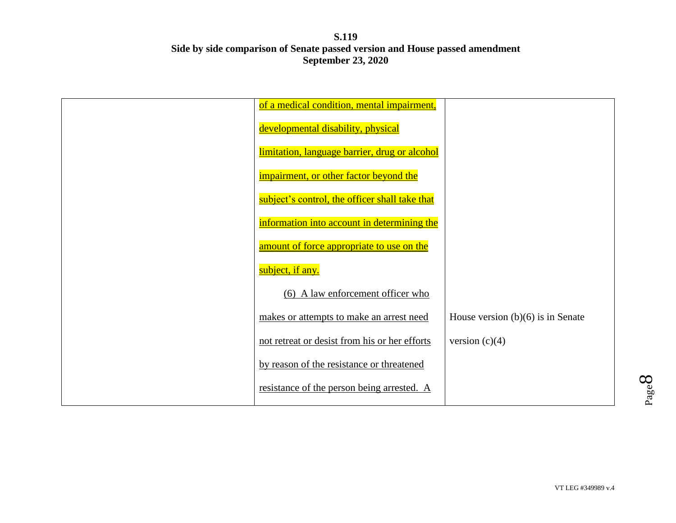| of a medical condition, mental impairment,     |                                     |
|------------------------------------------------|-------------------------------------|
| developmental disability, physical             |                                     |
| limitation, language barrier, drug or alcohol  |                                     |
| impairment, or other factor beyond the         |                                     |
| subject's control, the officer shall take that |                                     |
| information into account in determining the    |                                     |
| amount of force appropriate to use on the      |                                     |
| subject, if any.                               |                                     |
| (6) A law enforcement officer who              |                                     |
| makes or attempts to make an arrest need       | House version $(b)(6)$ is in Senate |
| not retreat or desist from his or her efforts  | version $(c)(4)$                    |
| by reason of the resistance or threatened      |                                     |
| resistance of the person being arrested. A     |                                     |
|                                                |                                     |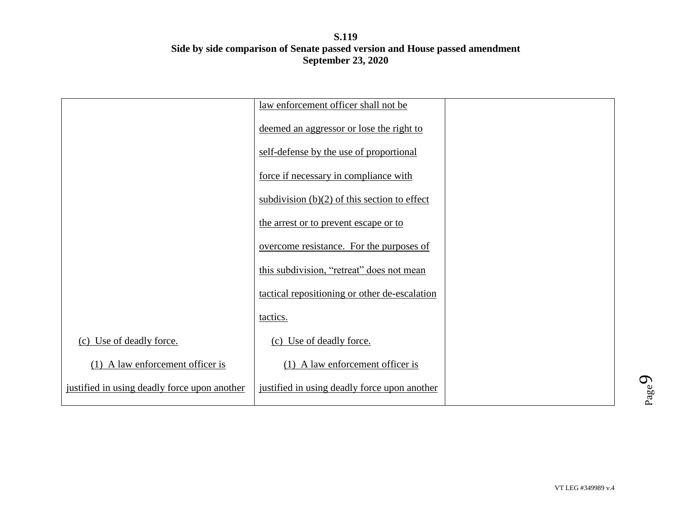|                                              | law enforcement officer shall not be           |  |
|----------------------------------------------|------------------------------------------------|--|
|                                              | deemed an aggressor or lose the right to       |  |
|                                              | self-defense by the use of proportional        |  |
|                                              | force if necessary in compliance with          |  |
|                                              | subdivision $(b)(2)$ of this section to effect |  |
|                                              | the arrest or to prevent escape or to          |  |
|                                              | overcome resistance. For the purposes of       |  |
|                                              | this subdivision, "retreat" does not mean      |  |
|                                              | tactical repositioning or other de-escalation  |  |
|                                              | tactics.                                       |  |
| (c) Use of deadly force.                     | (c) Use of deadly force.                       |  |
| $(1)$ A law enforcement officer is           | $(1)$ A law enforcement officer is             |  |
| justified in using deadly force upon another | justified in using deadly force upon another   |  |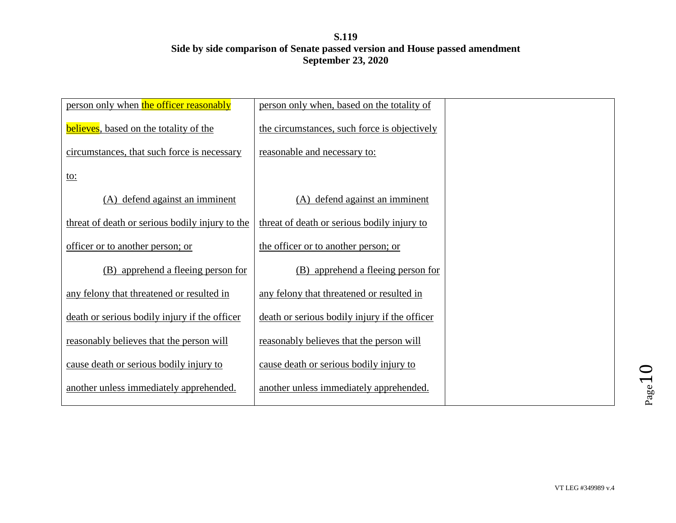| person only when the officer reasonably         | person only when, based on the totality of    |  |
|-------------------------------------------------|-----------------------------------------------|--|
| <b>believes</b> , based on the totality of the  | the circumstances, such force is objectively  |  |
| circumstances, that such force is necessary     | reasonable and necessary to:                  |  |
| <u>to:</u>                                      |                                               |  |
| (A) defend against an imminent                  | (A) defend against an imminent                |  |
| threat of death or serious bodily injury to the | threat of death or serious bodily injury to   |  |
| officer or to another person; or                | the officer or to another person; or          |  |
| (B) apprehend a fleeing person for              | apprehend a fleeing person for<br>(B)         |  |
| any felony that threatened or resulted in       | any felony that threatened or resulted in     |  |
| death or serious bodily injury if the officer   | death or serious bodily injury if the officer |  |
| reasonably believes that the person will        | reasonably believes that the person will      |  |
| cause death or serious bodily injury to         | cause death or serious bodily injury to       |  |
| another unless immediately apprehended.         | another unless immediately apprehended.       |  |
|                                                 |                                               |  |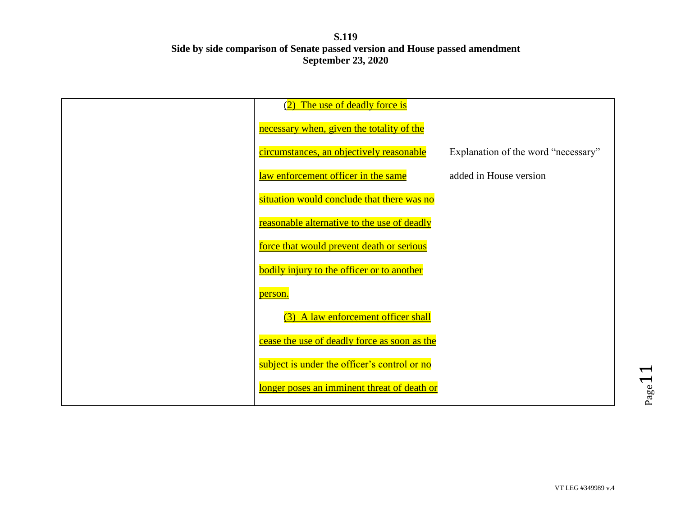| (2) The use of deadly force is                    |                                     |
|---------------------------------------------------|-------------------------------------|
| necessary when, given the totality of the         |                                     |
| circumstances, an objectively reasonable          | Explanation of the word "necessary" |
| law enforcement officer in the same               | added in House version              |
| situation would conclude that there was no        |                                     |
| reasonable alternative to the use of deadly       |                                     |
| force that would prevent death or serious         |                                     |
| <b>bodily injury to the officer or to another</b> |                                     |
| person.                                           |                                     |
| (3) A law enforcement officer shall               |                                     |
| cease the use of deadly force as soon as the      |                                     |
| subject is under the officer's control or no      |                                     |
| longer poses an imminent threat of death or       |                                     |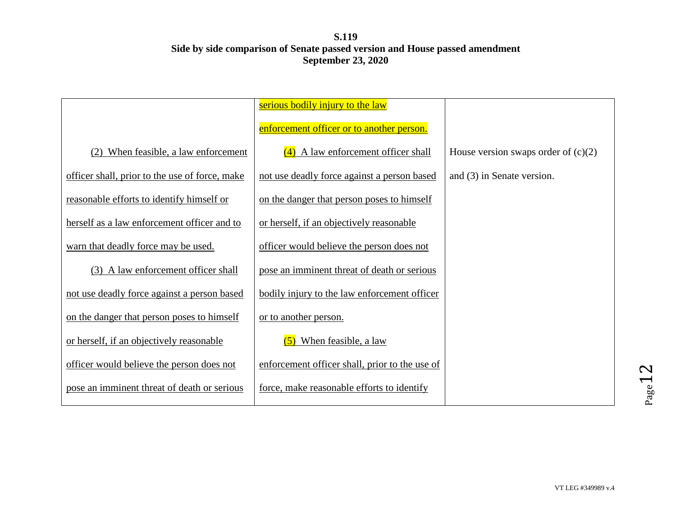|                                                | serious bodily injury to the law               |                                       |
|------------------------------------------------|------------------------------------------------|---------------------------------------|
|                                                | enforcement officer or to another person.      |                                       |
| When feasible, a law enforcement               | $(4)$ A law enforcement officer shall          | House version swaps order of $(c)(2)$ |
| officer shall, prior to the use of force, make | not use deadly force against a person based    | and (3) in Senate version.            |
| reasonable efforts to identify himself or      | on the danger that person poses to himself     |                                       |
| herself as a law enforcement officer and to    | or herself, if an objectively reasonable       |                                       |
| warn that deadly force may be used.            | officer would believe the person does not      |                                       |
| (3) A law enforcement officer shall            | pose an imminent threat of death or serious    |                                       |
| not use deadly force against a person based    | bodily injury to the law enforcement officer   |                                       |
| on the danger that person poses to himself     | or to another person.                          |                                       |
| or herself, if an objectively reasonable       | $(5)$ When feasible, a law                     |                                       |
| officer would believe the person does not      | enforcement officer shall, prior to the use of |                                       |
| pose an imminent threat of death or serious    | force, make reasonable efforts to identify     |                                       |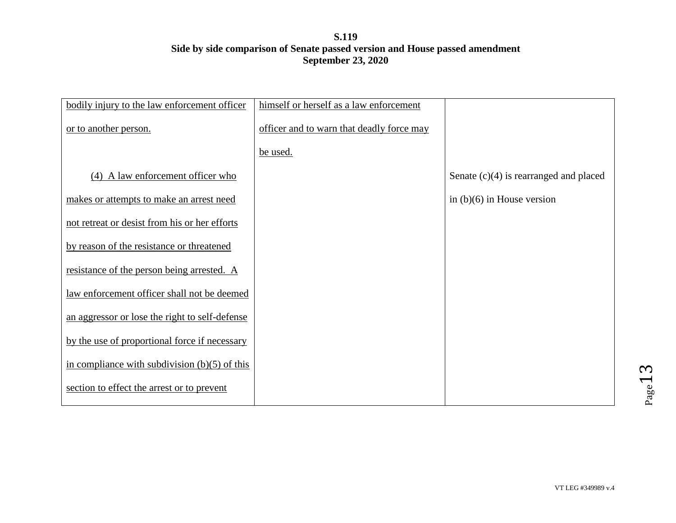| bodily injury to the law enforcement officer    | himself or herself as a law enforcement   |                                          |
|-------------------------------------------------|-------------------------------------------|------------------------------------------|
| or to another person.                           | officer and to warn that deadly force may |                                          |
|                                                 | be used.                                  |                                          |
| (4) A law enforcement officer who               |                                           | Senate $(c)(4)$ is rearranged and placed |
| makes or attempts to make an arrest need        |                                           | in $(b)(6)$ in House version             |
| not retreat or desist from his or her efforts   |                                           |                                          |
| by reason of the resistance or threatened       |                                           |                                          |
| resistance of the person being arrested. A      |                                           |                                          |
| law enforcement officer shall not be deemed     |                                           |                                          |
| an aggressor or lose the right to self-defense  |                                           |                                          |
| by the use of proportional force if necessary   |                                           |                                          |
| in compliance with subdivision $(b)(5)$ of this |                                           |                                          |
| section to effect the arrest or to prevent      |                                           |                                          |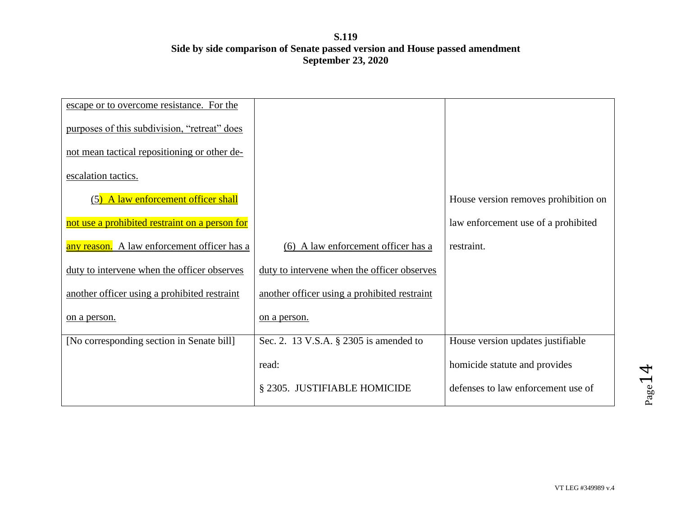| escape or to overcome resistance. For the      |                                              |                                      |
|------------------------------------------------|----------------------------------------------|--------------------------------------|
| purposes of this subdivision, "retreat" does   |                                              |                                      |
| not mean tactical repositioning or other de-   |                                              |                                      |
| escalation tactics.                            |                                              |                                      |
| A law enforcement officer shall<br>(5)         |                                              | House version removes prohibition on |
| not use a prohibited restraint on a person for |                                              | law enforcement use of a prohibited  |
| any reason. A law enforcement officer has a    | (6) A law enforcement officer has a          | restraint.                           |
| duty to intervene when the officer observes    | duty to intervene when the officer observes  |                                      |
| another officer using a prohibited restraint   | another officer using a prohibited restraint |                                      |
| <u>on a person.</u>                            | on a person.                                 |                                      |
| [No corresponding section in Senate bill]      | Sec. 2. 13 V.S.A. § 2305 is amended to       | House version updates justifiable    |
|                                                | read:                                        | homicide statute and provides        |
|                                                | § 2305. JUSTIFIABLE HOMICIDE                 | defenses to law enforcement use of   |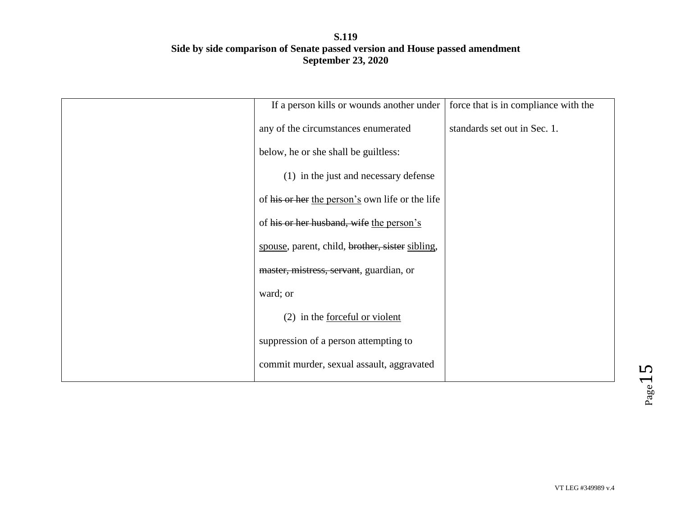| If a person kills or wounds another under       | force that is in compliance with the |
|-------------------------------------------------|--------------------------------------|
| any of the circumstances enumerated             | standards set out in Sec. 1.         |
| below, he or she shall be guiltless:            |                                      |
| (1) in the just and necessary defense           |                                      |
| of his or her the person's own life or the life |                                      |
| of his or her husband, wife the person's        |                                      |
| spouse, parent, child, brother, sister sibling, |                                      |
| master, mistress, servant, guardian, or         |                                      |
| ward; or                                        |                                      |
| $(2)$ in the <u>forceful or violent</u>         |                                      |
| suppression of a person attempting to           |                                      |
| commit murder, sexual assault, aggravated       |                                      |
|                                                 |                                      |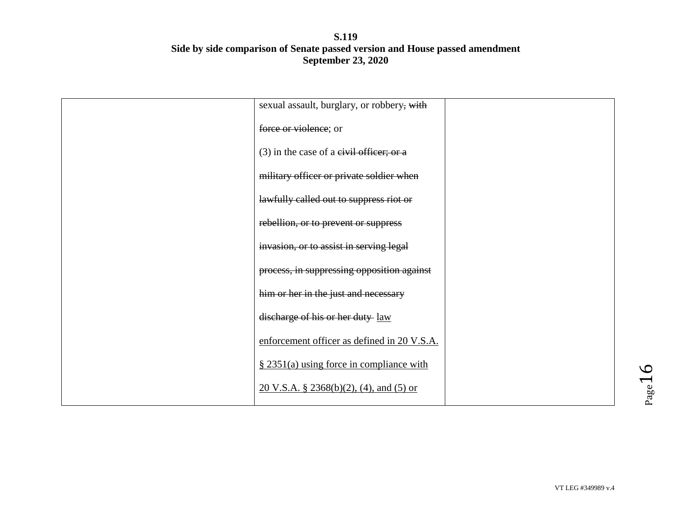| sexual assault, burglary, or robbery, with         |  |
|----------------------------------------------------|--|
| force or violence; or                              |  |
| $(3)$ in the case of a civil officer; or a         |  |
| military officer or private soldier when           |  |
| lawfully called out to suppress riot or            |  |
| rebellion, or to prevent or suppress               |  |
| invasion, or to assist in serving legal            |  |
| process, in suppressing opposition against         |  |
| him or her in the just and necessary               |  |
| discharge of his or her duty law                   |  |
| enforcement officer as defined in 20 V.S.A.        |  |
| $\S$ 2351(a) using force in compliance with        |  |
| $20 \text{ V.S.A. }$ § 2368(b)(2), (4), and (5) or |  |
|                                                    |  |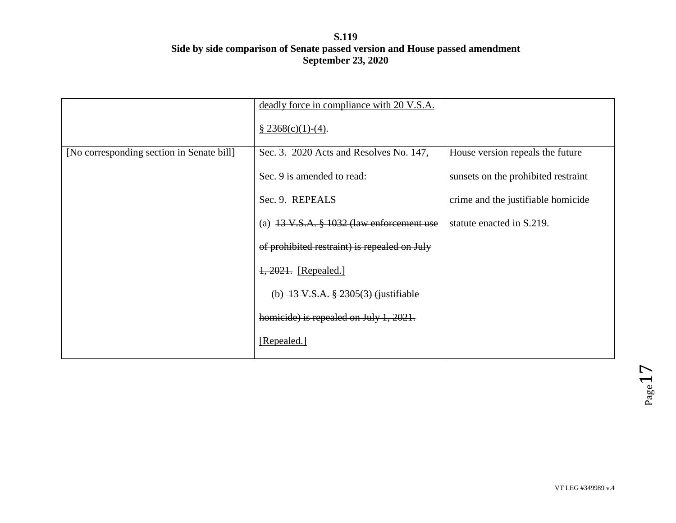|                                           | deadly force in compliance with 20 V.S.A.              |                                     |
|-------------------------------------------|--------------------------------------------------------|-------------------------------------|
|                                           | $$2368(c)(1)-(4).$                                     |                                     |
| [No corresponding section in Senate bill] | Sec. 3. 2020 Acts and Resolves No. 147,                | House version repeals the future    |
|                                           | Sec. 9 is amended to read:                             | sunsets on the prohibited restraint |
|                                           | Sec. 9. REPEALS                                        | crime and the justifiable homicide  |
|                                           | (a) $13 \text{ V.S.A. }$ \$ 1032 (law enforcement use  | statute enacted in S.219.           |
|                                           | of prohibited restraint) is repealed on July           |                                     |
|                                           | 1, 2021. [Repealed.]                                   |                                     |
|                                           | (b) $\frac{13 \text{ V.S.A. } }{2305(3)}$ (justifiable |                                     |
|                                           | homicide) is repealed on July 1, 2021.                 |                                     |
|                                           | [Repealed.]                                            |                                     |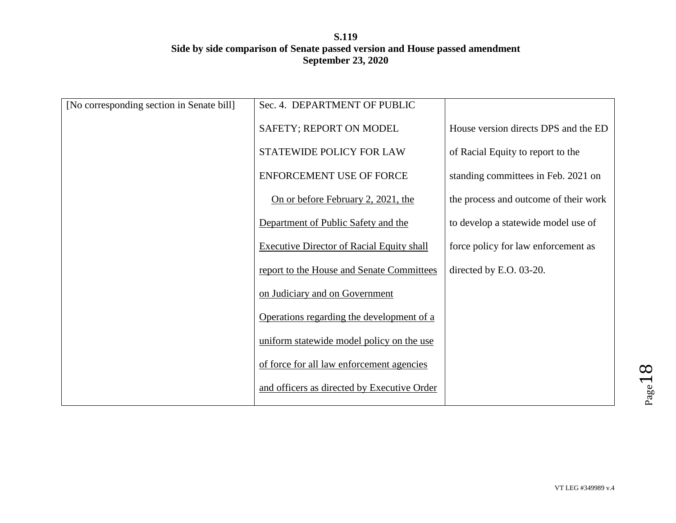| [No corresponding section in Senate bill] | Sec. 4. DEPARTMENT OF PUBLIC                     |                                       |
|-------------------------------------------|--------------------------------------------------|---------------------------------------|
|                                           | SAFETY; REPORT ON MODEL                          | House version directs DPS and the ED  |
|                                           | STATEWIDE POLICY FOR LAW                         | of Racial Equity to report to the     |
|                                           | ENFORCEMENT USE OF FORCE                         | standing committees in Feb. 2021 on   |
|                                           | On or before February 2, 2021, the               | the process and outcome of their work |
|                                           | Department of Public Safety and the              | to develop a statewide model use of   |
|                                           | <b>Executive Director of Racial Equity shall</b> | force policy for law enforcement as   |
|                                           | report to the House and Senate Committees        | directed by E.O. 03-20.               |
|                                           | on Judiciary and on Government                   |                                       |
|                                           | Operations regarding the development of a        |                                       |
|                                           | uniform statewide model policy on the use        |                                       |
|                                           | of force for all law enforcement agencies        |                                       |
|                                           | and officers as directed by Executive Order      |                                       |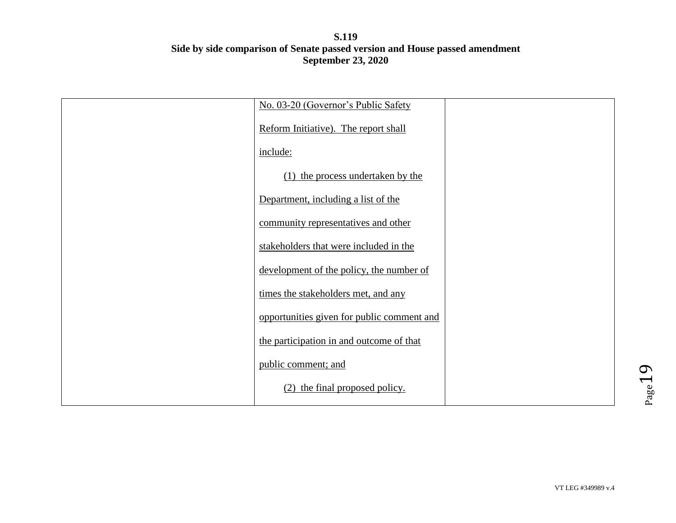| No. 03-20 (Governor's Public Safety        |  |
|--------------------------------------------|--|
| Reform Initiative). The report shall       |  |
| include:                                   |  |
| (1) the process undertaken by the          |  |
| Department, including a list of the        |  |
| community representatives and other        |  |
| stakeholders that were included in the     |  |
| development of the policy, the number of   |  |
| times the stakeholders met, and any        |  |
| opportunities given for public comment and |  |
| the participation in and outcome of that   |  |
| public comment; and                        |  |
| (2) the final proposed policy.             |  |
|                                            |  |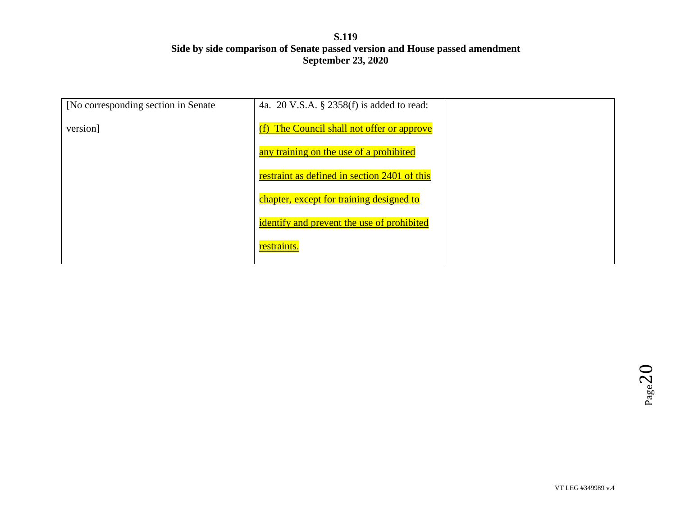| [No corresponding section in Senate] | 4a. 20 V.S.A. § 2358(f) is added to read:    |  |
|--------------------------------------|----------------------------------------------|--|
| version]                             | (f) The Council shall not offer or approve   |  |
|                                      | any training on the use of a prohibited      |  |
|                                      | restraint as defined in section 2401 of this |  |
|                                      | chapter, except for training designed to     |  |
|                                      | identify and prevent the use of prohibited   |  |
|                                      | restraints.                                  |  |